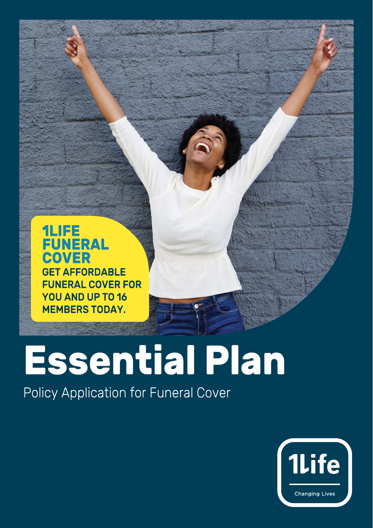

# **Essential Plan**

Policy Application for Funeral Cover

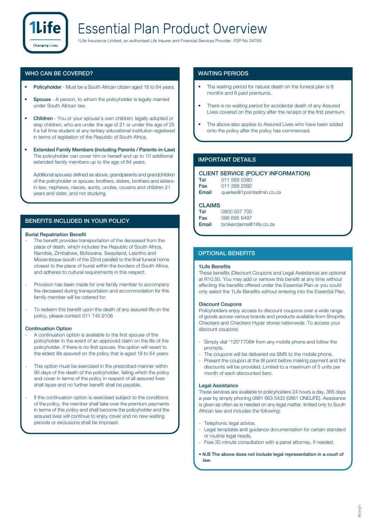

#### **WHO CAN BE COVERED?**

- **Policyholder** Must be a South African citizen aged 18 to 64 years.
- **Spouse** A person, to whom the policyholder is legally married under South African law.
- **Children**  You or your spouse's own children; legally adopted or step children; who are under the age of 21 or under the age of 25 if a full time student at any tertiary educational institution registered in terms of legislation of the Republic of South Africa.
- **Extended Family Members (including Parents / Parents-in-Law)** The policyholder can cover him or herself and up to 10 additional extended family members up to the age of 84 years.

Additional spouses defined as above, grandparents and grandchildren of the policyholder or spouse, brothers, sisters, brothers and sistersin-law, nephews, nieces, aunts, uncles, cousins and children 21 years and older, and not studying.

#### **BENEFITS INCLUDED IN YOUR POLICY**

#### **Burial Repatriation Benefit**

- The benefit provides transportation of the deceased from the place of death, which includes the Republic of South Africa, Namibia, Zimbabwe, Botswana, Swaziland, Lesotho and Mozambique (south of the 22nd parallel) to the final funeral home closest to the place of burial within the borders of South Africa, and adheres to cultural requirements in this respect.
- Provision has been made for one family member to accompany the deceased during transportation and accommodation for this family member will be catered for.
- To redeem this benefit upon the death of any assured life on the policy, please contact 011 745 9106

#### **Continuation Option**

- A continuation option is available to the first spouse of the policyholder in the event of an approved claim on the life of the policyholder, if there is no first spouse, the option will revert to the eldest life assured on the policy that is aged 18 to 64 years.
- This option must be exercised in the prescribed manner within 90 days of the death of the policyholder, failing which the policy and cover in terms of the policy in respect of all assured lives shall lapse and no further benefit shall be payable.
- If the continuation option is exercised subject to the conditions of the policy, the member shall take over the premium payments in terms of this policy and shall become the policyholder and the assured lives will continue to enjoy cover and no new waiting periods or exclusions shall be imposed.

#### **WAITING PERIODS**

- The waiting period for natural death on the funeral plan is 6 months and 6 paid premiums.
- There is no waiting period for accidental death of any Assured Lives covered on the policy after the receipt of the first premium.
- The above also applies to Assured Lives who have been added onto the policy after the policy has commenced.

#### **IMPORTANT DETAILS**

|       | <b>CLIENT SERVICE (POLICY INFORMATION)</b> |
|-------|--------------------------------------------|
| Tel   | 011 568 0380                               |
| Fax   | 011 388 2992                               |
| Email | queries@1pointadmin.co.za                  |

#### **CLAIMS**

| Tel   | 0800 007 700             |
|-------|--------------------------|
| Fax   | 086 695 6497             |
| Email | brokerclaims@1life.co.za |

#### **OPTIONAL BENEFITS**

#### **1Life Benefits**

These benefits (Discount Coupons and Legal Assistance) are optional at R10.50. You may add or remove this benefit at any time without affecting the benefits offered under the Essential Plan or you could only select the 1Life Benefits without entering into the Essential Plan.

#### **Discount Coupons**

Policyholders enjoy access to discount coupons over a wide range of goods across various brands and products available from Shoprite, Checkers and Checkers Hyper stores nationwide. To access your discount coupons:

- Simply dial \*120\*7706# from any mobile phone and follow the prompts.
- The coupons will be delivered via SMS to the mobile phone.
- Present the coupon at the till point before making payment and the discounts will be provided. Limited to a maximum of 5 units per month of each discounted item.

#### **Legal Assistance**

These services are available to policyholders 24 hours a day, 365 days a year by simply phoning 0861 663 5433 (0861 ONELIFE). Assistance is given as often as is needed on any legal matter, limited only to South African law and includes the following:

- Telephonic legal advice.
- Legal templates and guidance documentation for certain standard or routine legal needs.
- Free 30 minute consultation with a panel attorney, if needed.
- **N.B The above does not include legal representation in a court of law.**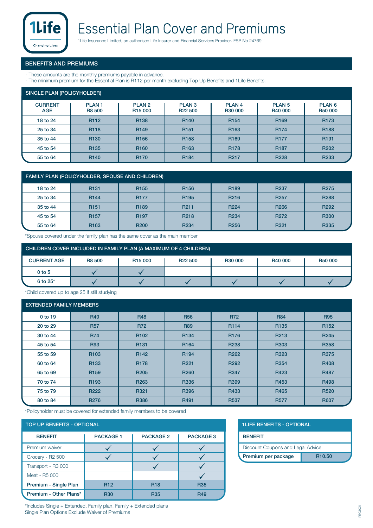

#### **BENEFITS AND PREMIUMS**

- These amounts are the monthly premiums payable in advance.
- The minimum premium for the Essential Plan is R112 per month excluding Top Up Benefits and 1Life Benefits.

| SINGLE PLAN (POLICYHOLDER)   |                        |                                          |                                          |                              |                              |                              |  |  |
|------------------------------|------------------------|------------------------------------------|------------------------------------------|------------------------------|------------------------------|------------------------------|--|--|
| <b>CURRENT</b><br><b>AGE</b> | <b>PLAN1</b><br>R8 500 | PLAN <sub>2</sub><br>R <sub>15</sub> 000 | PLAN <sub>3</sub><br>R <sub>22</sub> 500 | PLAN <sub>4</sub><br>R30 000 | PLAN <sub>5</sub><br>R40 000 | PLAN <sub>6</sub><br>R50 000 |  |  |
| 18 to 24                     | R <sub>112</sub>       | R138                                     | R <sub>140</sub>                         | R <sub>154</sub>             | R <sub>169</sub>             | R <sub>173</sub>             |  |  |
| 25 to 34                     | R <sub>118</sub>       | R <sub>149</sub>                         | R <sub>151</sub>                         | R <sub>163</sub>             | R <sub>174</sub>             | R <sub>188</sub>             |  |  |
| 35 to 44                     | R <sub>130</sub>       | R <sub>156</sub>                         | R <sub>158</sub>                         | R <sub>169</sub>             | <b>R177</b>                  | R <sub>191</sub>             |  |  |
| 45 to 54                     | R <sub>135</sub>       | R <sub>160</sub>                         | R <sub>163</sub>                         | <b>R178</b>                  | R <sub>187</sub>             | R <sub>202</sub>             |  |  |
| 55 to 64                     | R <sub>140</sub>       | <b>R170</b>                              | R <sub>184</sub>                         | R <sub>217</sub>             | R <sub>228</sub>             | R <sub>233</sub>             |  |  |

| <b>FAMILY PLAN (POLICYHOLDER, SPOUSE AND CHILDREN)</b> |                  |                  |                  |                  |                  |                  |  |  |
|--------------------------------------------------------|------------------|------------------|------------------|------------------|------------------|------------------|--|--|
| 18 to 24                                               | R <sub>131</sub> | R <sub>155</sub> | R <sub>156</sub> | R <sub>189</sub> | R <sub>237</sub> | <b>R275</b>      |  |  |
| 25 to 34                                               | R <sub>144</sub> | <b>R177</b>      | R <sub>195</sub> | R <sub>216</sub> | R <sub>257</sub> | <b>R288</b>      |  |  |
| 35 to 44                                               | R <sub>151</sub> | R <sub>189</sub> | R <sub>211</sub> | R <sub>224</sub> | R <sub>266</sub> | R <sub>292</sub> |  |  |
| 45 to 54                                               | R <sub>157</sub> | R <sub>197</sub> | R <sub>218</sub> | R <sub>234</sub> | R <sub>272</sub> | <b>R300</b>      |  |  |
| 55 to 64                                               | R <sub>163</sub> | <b>R200</b>      | R <sub>234</sub> | R <sub>256</sub> | R321             | <b>R335</b>      |  |  |

\*Spouse covered under the family plan has the same cover as the main member

| CHILDREN COVER INCLUDED IN FAMILY PLAN (A MAXIMUM OF 4 CHILDREN) |        |                     |                     |                     |         |         |  |  |
|------------------------------------------------------------------|--------|---------------------|---------------------|---------------------|---------|---------|--|--|
| <b>CURRENT AGE</b>                                               | R8 500 | R <sub>15</sub> 000 | R <sub>22</sub> 500 | R <sub>30</sub> 000 | R40 000 | R50 000 |  |  |
| $0$ to 5                                                         |        |                     |                     |                     |         |         |  |  |
| $6$ to $25^*$                                                    |        |                     |                     |                     |         |         |  |  |

\*Child covered up to age 25 if still studying

#### **EXTENDED FAMILY MEMBERS**

| 0 to 19  | <b>R40</b>       | <b>R48</b>       | <b>R56</b>       | <b>R72</b>       | <b>R84</b>       | <b>R95</b>       |
|----------|------------------|------------------|------------------|------------------|------------------|------------------|
| 20 to 29 | <b>R57</b>       | <b>R72</b>       | <b>R89</b>       | R114             | R <sub>135</sub> | R <sub>152</sub> |
| 30 to 44 | <b>R74</b>       | R <sub>102</sub> | R134             | R176             | R <sub>213</sub> | R <sub>245</sub> |
| 45 to 54 | <b>R93</b>       | R <sub>131</sub> | R <sub>164</sub> | <b>R238</b>      | R303             | R358             |
| 55 to 59 | R <sub>103</sub> | R <sub>142</sub> | R <sub>194</sub> | R <sub>262</sub> | R323             | <b>R375</b>      |
| 60 to 64 | R <sub>133</sub> | R <sub>178</sub> | R <sub>221</sub> | R <sub>292</sub> | R354             | R408             |
| 65 to 69 | R <sub>159</sub> | R <sub>205</sub> | R <sub>260</sub> | <b>R347</b>      | R423             | <b>R487</b>      |
| 70 to 74 | R <sub>193</sub> | R <sub>263</sub> | <b>R336</b>      | R399             | R453             | R498             |
| 75 to 79 | <b>R222</b>      | R321             | R396             | R433             | R465             | <b>R520</b>      |
| 80 to 84 | <b>R276</b>      | <b>R386</b>      | R491             | <b>R537</b>      | <b>R577</b>      | <b>R607</b>      |

\*Policyholder must be covered for extended family members to be covered

#### **TOP UP BENEFITS - OPTIONAL**

| <b>BENEFIT</b>         | <b>PACKAGE 1</b> | <b>PACKAGE 2</b> | <b>PACKAGE 3</b> |  |  |  |  |
|------------------------|------------------|------------------|------------------|--|--|--|--|
| Premium waiver         |                  |                  |                  |  |  |  |  |
| Grocery - R2 500       |                  |                  |                  |  |  |  |  |
| Transport - R3 000     |                  |                  |                  |  |  |  |  |
| Meat - R5 000          |                  |                  |                  |  |  |  |  |
| Premium - Single Plan  | <b>R12</b>       | <b>R18</b>       | <b>R35</b>       |  |  |  |  |
| Premium - Other Plans* | <b>R30</b>       | <b>R35</b>       | <b>R49</b>       |  |  |  |  |

|  |  |  | <b>1LIFE BENEFITS - OPTIONAL</b> |  |
|--|--|--|----------------------------------|--|
|  |  |  |                                  |  |

| <b>BENEFIT</b>      |                                   |  |  |  |  |  |
|---------------------|-----------------------------------|--|--|--|--|--|
|                     | Discount Coupons and Legal Advice |  |  |  |  |  |
| Premium per package | R <sub>10.50</sub>                |  |  |  |  |  |

\*Includes Single + Extended, Family plan, Family + Extended plans Single Plan Options Exclude Waiver of Premiums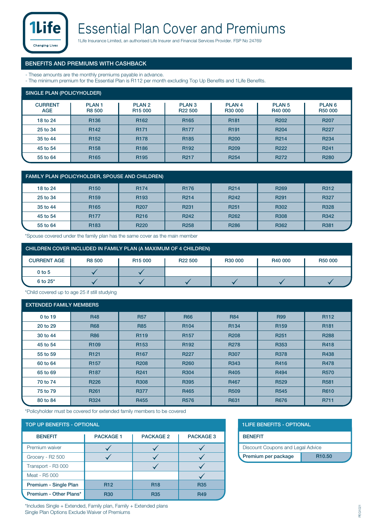

### **Essential Plan Cover and Premiums**

1Life Insurance Limited, an authorised Life Insurer and Financial Services Provider. FSP No 24769

#### **BENEFITS AND PREMIUMS WITH CASHBACK**

- These amounts are the monthly premiums payable in advance.
- The minimum premium for the Essential Plan is R112 per month excluding Top Up Benefits and 1Life Benefits.

| SINGLE PLAN (POLICYHOLDER)   |                               |                                          |                                          |                              |                              |                              |  |  |
|------------------------------|-------------------------------|------------------------------------------|------------------------------------------|------------------------------|------------------------------|------------------------------|--|--|
| <b>CURRENT</b><br><b>AGE</b> | <b>PLAN1</b><br><b>R8 500</b> | PLAN <sub>2</sub><br>R <sub>15</sub> 000 | PLAN <sub>3</sub><br>R <sub>22</sub> 500 | PLAN <sub>4</sub><br>R30 000 | PLAN <sub>5</sub><br>R40 000 | PLAN <sub>6</sub><br>R50 000 |  |  |
| 18 to 24                     | R <sub>136</sub>              | R <sub>162</sub>                         | R <sub>165</sub>                         | R <sub>181</sub>             | R <sub>202</sub>             | <b>R207</b>                  |  |  |
| 25 to 34                     | R <sub>142</sub>              | R <sub>171</sub>                         | <b>R177</b>                              | R <sub>191</sub>             | R <sub>204</sub>             | R <sub>227</sub>             |  |  |
| 35 to 44                     | R <sub>152</sub>              | <b>R178</b>                              | R <sub>185</sub>                         | R <sub>200</sub>             | R <sub>214</sub>             | R234                         |  |  |
| 45 to 54                     | R <sub>158</sub>              | R <sub>186</sub>                         | R <sub>192</sub>                         | R <sub>209</sub>             | R <sub>222</sub>             | R <sub>241</sub>             |  |  |
| 55 to 64                     | R <sub>165</sub>              | R <sub>195</sub>                         | R <sub>217</sub>                         | R <sub>254</sub>             | R <sub>272</sub>             | <b>R280</b>                  |  |  |

| <b>FAMILY PLAN (POLICYHOLDER, SPOUSE AND CHILDREN)</b> |                  |                  |                   |                  |                  |             |  |  |
|--------------------------------------------------------|------------------|------------------|-------------------|------------------|------------------|-------------|--|--|
| 18 to 24                                               | R <sub>150</sub> | <b>R174</b>      | R <sub>176</sub>  | R <sub>214</sub> | R <sub>269</sub> | R312        |  |  |
| 25 to 34                                               | R <sub>159</sub> | R <sub>193</sub> | R <sub>2</sub> 14 | R <sub>242</sub> | R <sub>291</sub> | <b>R327</b> |  |  |
| 35 to 44                                               | R <sub>165</sub> | R <sub>207</sub> | R <sub>231</sub>  | R <sub>251</sub> | R302             | <b>R328</b> |  |  |
| 45 to 54                                               | <b>R177</b>      | R <sub>216</sub> | R <sub>242</sub>  | R <sub>262</sub> | <b>R308</b>      | R342        |  |  |
| 55 to 64                                               | R <sub>183</sub> | <b>R220</b>      | R <sub>258</sub>  | <b>R286</b>      | R362             | R381        |  |  |

\*Spouse covered under the family plan has the same cover as the main member

| CHILDREN COVER INCLUDED IN FAMILY PLAN (A MAXIMUM OF 4 CHILDREN) |        |                     |                     |         |         |         |  |  |
|------------------------------------------------------------------|--------|---------------------|---------------------|---------|---------|---------|--|--|
| <b>CURRENT AGE</b>                                               | R8 500 | R <sub>15</sub> 000 | R <sub>22</sub> 500 | R30 000 | R40 000 | R50 000 |  |  |
| $0$ to 5                                                         |        |                     |                     |         |         |         |  |  |
| $6$ to $25^*$                                                    |        |                     |                     |         |         |         |  |  |

\*Child covered up to age 25 if still studying

#### **EXTENDED FAMILY MEMBERS**

| 0 to 19  | <b>R48</b>       | <b>R57</b>       | <b>R66</b>       | <b>R84</b>  | <b>R99</b>       | R <sub>112</sub> |
|----------|------------------|------------------|------------------|-------------|------------------|------------------|
| 20 to 29 | <b>R68</b>       | <b>R85</b>       | R <sub>104</sub> | R134        | R <sub>159</sub> | R <sub>181</sub> |
| 30 to 44 | <b>R86</b>       | R <sub>119</sub> | R <sub>157</sub> | <b>R208</b> | R <sub>251</sub> | R288             |
| 45 to 54 | R <sub>109</sub> | R <sub>153</sub> | R <sub>192</sub> | <b>R278</b> | R353             | R418             |
| 55 to 59 | R <sub>121</sub> | R <sub>167</sub> | R <sub>227</sub> | <b>R307</b> | <b>R378</b>      | R438             |
| 60 to 64 | R <sub>157</sub> | <b>R208</b>      | R <sub>260</sub> | R343        | R416             | <b>R478</b>      |
| 65 to 69 | R <sub>187</sub> | R <sub>241</sub> | R304             | R405        | R494             | <b>R570</b>      |
| 70 to 74 | R226             | <b>R308</b>      | R395             | R467        | R <sub>529</sub> | <b>R581</b>      |
| 75 to 79 | R <sub>261</sub> | <b>R377</b>      | R465             | <b>R509</b> | <b>R545</b>      | R610             |
| 80 to 84 | <b>R324</b>      | R455             | <b>R576</b>      | <b>R631</b> | <b>R676</b>      | R711             |

\*Policyholder must be covered for extended family members to be covered

#### **TOP UP BENEFITS - OPTIONAL**

| <b>BENEFIT</b>         | <b>PACKAGE 1</b> | <b>PACKAGE 2</b> | <b>PACKAGE 3</b> |
|------------------------|------------------|------------------|------------------|
| Premium waiver         |                  |                  |                  |
| Grocery - R2 500       |                  |                  |                  |
| Transport - R3 000     |                  |                  |                  |
| Meat - R5 000          |                  |                  |                  |
| Premium - Single Plan  | <b>R12</b>       | <b>R18</b>       | <b>R35</b>       |
| Premium - Other Plans* | <b>R30</b>       | <b>R35</b>       | <b>R49</b>       |

| <b>1LIFE BENEFITS - OPTIONAL</b> |  |
|----------------------------------|--|
|                                  |  |

| <b>BENEFIT</b>                    |                    |  |  |  |  |  |
|-----------------------------------|--------------------|--|--|--|--|--|
| Discount Coupons and Legal Advice |                    |  |  |  |  |  |
| Premium per package               | R <sub>10.50</sub> |  |  |  |  |  |

\*Includes Single + Extended, Family plan, Family + Extended plans Single Plan Options Exclude Waiver of Premiums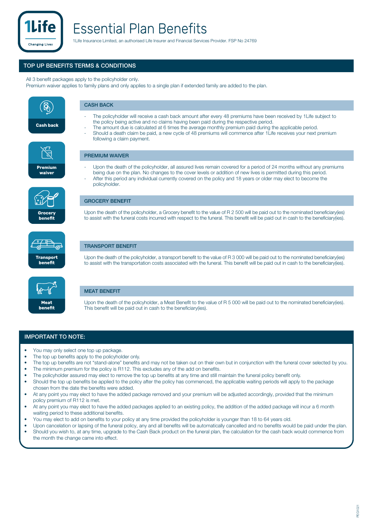

### **Essential Plan Benefits**

1Life Insurance Limited, an authorised Life Insurer and Financial Services Provider. FSP No 24769

#### **TOP UP BENEFITS TERMS & CONDITIONS**

All 3 benefit packages apply to the policyholder only.

Premium waiver applies to family plans and only applies to a single plan if extended family are added to the plan.



#### **IMPORTANT TO NOTE:**

- You may only select one top up package.
- The top up benefits apply to the policyholder only.
- The top up benefits are not "stand-alone" benefits and may not be taken out on their own but in conjunction with the funeral cover selected by you.
- The minimum premium for the policy is R112. This excludes any of the add on benefits.
- The policyholder assured may elect to remove the top up benefits at any time and still maintain the funeral policy benefit only.
- Should the top up benefits be applied to the policy after the policy has commenced, the applicable waiting periods will apply to the package chosen from the date the benefits were added.
- At any point you may elect to have the added package removed and your premium will be adjusted accordingly, provided that the minimum policy premium of R112 is met.
- At any point you may elect to have the added packages applied to an existing policy, the addition of the added package will incur a 6 month waiting period to these additional benefits.
- You may elect to add on benefits to your policy at any time provided the policyholder is younger than 18 to 64 years old.
- Upon cancelation or lapsing of the funeral policy, any and all benefits will be automatically cancelled and no benefits would be paid under the plan. • Should you wish to, at any time, upgrade to the Cash Back product on the funeral plan, the calculation for the cash back would commence from
- the month the change came into effect.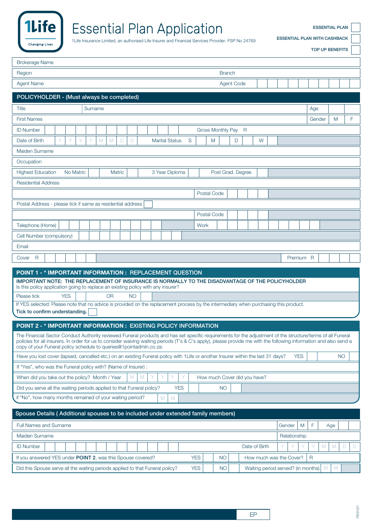

### **Essential Plan Application**

**ESSENTIAL PLAN WITH CASHBACK**

1Life Insurance Limited, an authorised Life Insurer and Financial Services Provider. FSP No 24769

**TOP UP BENEFITS**

**ESSENTIAL PLAN**

| Region<br><b>Branch</b>                                                                                                                                                                                                                  |    |
|------------------------------------------------------------------------------------------------------------------------------------------------------------------------------------------------------------------------------------------|----|
| <b>Agent Name</b><br><b>Agent Code</b>                                                                                                                                                                                                   |    |
| POLICYHOLDER - (Must always be completed)                                                                                                                                                                                                |    |
| Title<br>Surname<br>Age                                                                                                                                                                                                                  |    |
| <b>First Names</b><br>Gender<br>M                                                                                                                                                                                                        | F. |
| <b>ID Number</b><br>Gross Monthly Pay R                                                                                                                                                                                                  |    |
| Υ<br>M<br>M<br>$\Box$<br>S<br>Date of Birth<br>D<br><b>Marital Status</b><br>D<br>W<br>M                                                                                                                                                 |    |
| Maiden Surname                                                                                                                                                                                                                           |    |
| Occupation                                                                                                                                                                                                                               |    |
| <b>Highest Education</b><br>No Matric<br>Matric<br>3 Year Diploma<br>Post Grad. Degree                                                                                                                                                   |    |
| <b>Residential Address</b>                                                                                                                                                                                                               |    |
| Postal Code                                                                                                                                                                                                                              |    |
| Postal Address - please tick if same as residential address                                                                                                                                                                              |    |
| Postal Code                                                                                                                                                                                                                              |    |
| Telephone (Home)<br>Work                                                                                                                                                                                                                 |    |
| Cell Number (compulsory)                                                                                                                                                                                                                 |    |
| Email                                                                                                                                                                                                                                    |    |
| $\mathsf{R}$<br>Cover<br>Premium R                                                                                                                                                                                                       |    |
| POINT 1 - * IMPORTANT INFORMATION : REPLACEMENT QUESTION                                                                                                                                                                                 |    |
| IMPORTANT NOTE: THE REPLACEMENT OF INSURANCE IS NORMALLY TO THE DISADVANTAGE OF THE POLICYHOLDER<br>Is this policy application going to replace an existing policy with any insurer?                                                     |    |
| <b>YES</b><br>Please tick<br><b>OR</b><br><b>NO</b>                                                                                                                                                                                      |    |
| If YES selected: Please note that no advice is provided on the replacement process by the intermediary when purchasing this product.                                                                                                     |    |
| Tick to confirm understanding.                                                                                                                                                                                                           |    |
|                                                                                                                                                                                                                                          |    |
| POINT 2 - * IMPORTANT INFORMATION : EXISTING POLICY INFORMATION                                                                                                                                                                          |    |
| The Financial Sector Conduct Authority reviewed Funeral products and has set specific requirements for the adjustment of the structure/terms of all Funeral                                                                              |    |
| policies for all insurers. In order for us to consider waiving waiting periods (T's & C's apply), please provide me with the following information and also send a<br>copy of your Funeral policy schedule to queries@1pointadmin.co.za: |    |
| Have you lost cover (lapsed, cancelled etc.) on an existing Funeral policy with 1Life or another Insurer within the last 31 days?<br><b>YES</b><br><b>NO</b>                                                                             |    |
| If "Yes", who was the Funeral policy with? (Name of Insurer):                                                                                                                                                                            |    |
| When did you take out the policy? Month / Year<br>Y<br>How much Cover did you have?<br>M<br>M                                                                                                                                            |    |
| Did you serve all the waiting periods applied to that Funeral policy?<br><b>YES</b><br><b>NO</b>                                                                                                                                         |    |
| if "No", how many months remained of your waiting period?<br>M<br>M                                                                                                                                                                      |    |
| Spouse Details (Additional spouses to be included under extended family members)                                                                                                                                                         |    |
| Full Names and Surname<br>F<br>M<br>Gender<br>Age                                                                                                                                                                                        |    |
| Maiden Surname<br>Relationship                                                                                                                                                                                                           |    |
| <b>ID Number</b><br>Date of Birth<br>M<br>M                                                                                                                                                                                              | D  |
| If you answered YES under POINT 2, was this Spouse covered?<br><b>YES</b><br>$\mathsf{R}$<br><b>NO</b><br>How much was the Cover?                                                                                                        |    |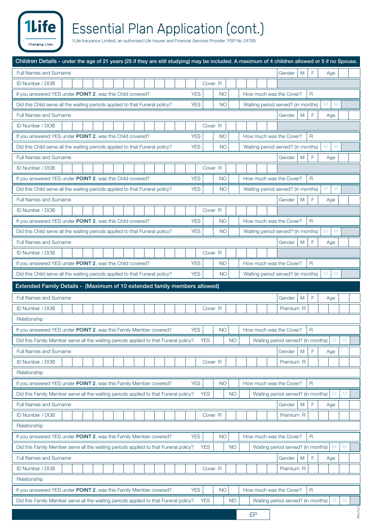## Essential Plan Application (cont.)<br>1Life Insurance Limited, an authorised Life Insurer and Financial Services Provider. FSP No 24769

1Life

**Changing Lives** 

| <b>Full Names and Surname</b><br>F<br>M<br>Gender<br>Age                                                                                                          |
|-------------------------------------------------------------------------------------------------------------------------------------------------------------------|
| ID Number / DOB<br>Cover <sub>R</sub>                                                                                                                             |
| If you answered YES under POINT 2, was this Child covered?<br><b>YES</b><br><b>NO</b><br>How much was the Cover?<br>$\mathsf{R}$                                  |
| M<br>M<br><b>YES</b><br>Did this Child serve all the waiting periods applied to that Funeral policy?<br><b>NO</b><br>Waiting period served? (in months)           |
| <b>Full Names and Surname</b><br>F<br>Gender<br>M<br>Age                                                                                                          |
| ID Number / DOB<br>Cover <sub>R</sub>                                                                                                                             |
| <b>YES</b><br>If you answered YES under POINT 2, was this Child covered?<br><b>NO</b><br>$\mathsf{R}$<br>How much was the Cover?                                  |
| M<br>M<br><b>YES</b><br><b>NO</b><br>Waiting period served? (in months)<br>Did this Child serve all the waiting periods applied to that Funeral policy?           |
| <b>Full Names and Surname</b><br>F<br>M<br>Gender<br>Age                                                                                                          |
| ID Number / DOB<br>Cover <sub>R</sub>                                                                                                                             |
| <b>YES</b><br>If you answered YES under POINT 2, was this Child covered?<br><b>NO</b><br>How much was the Cover?<br>$\overline{R}$                                |
| M<br>M<br><b>YES</b><br><b>NO</b><br>Waiting period served? (in months)<br>Did this Child serve all the waiting periods applied to that Funeral policy?           |
| <b>Full Names and Surname</b><br>F<br>Gender<br>M<br>Age                                                                                                          |
| ID Number / DOB<br>Cover <sub>R</sub>                                                                                                                             |
| If you answered YES under POINT 2, was this Child covered?<br><b>YES</b><br>$\mathsf{R}$<br><b>NO</b><br>How much was the Cover?                                  |
| M<br>M<br><b>YES</b><br><b>NO</b><br>Did this Child serve all the waiting periods applied to that Funeral policy?<br>Waiting period served? (in months)           |
| <b>Full Names and Surname</b><br>F<br>M<br>Gender<br>Age                                                                                                          |
| ID Number / DOB<br>Cover <sub>R</sub>                                                                                                                             |
| If you answered YES under POINT 2, was this Child covered?<br><b>YES</b><br><b>NO</b><br>$\mathsf{R}$<br>How much was the Cover?                                  |
| M<br>M<br>Did this Child serve all the waiting periods applied to that Funeral policy?<br><b>YES</b><br><b>NO</b><br>Waiting period served? (in months)           |
| Extended Family Details - (Maximum of 10 extended family members allowed)                                                                                         |
| <b>Full Names and Surname</b><br>F<br>M<br>Gender<br>Age                                                                                                          |
|                                                                                                                                                                   |
| ID Number / DOB<br>Cover <sub>R</sub><br>Premium R                                                                                                                |
| Relationship                                                                                                                                                      |
| If you answered YES under POINT 2, was this Family Member covered?<br><b>YES</b><br>How much was the Cover?<br><b>NO</b><br>R                                     |
| Waiting period served? (in months)   M<br><b>YES</b><br><b>NO</b><br>Did this Family Member serve all the waiting periods applied to that Funeral policy?         |
| Full Names and Surname<br>F<br>M<br>Gender<br>Age                                                                                                                 |
| ID Number / DOB<br>Premium R<br>Cover <sub>R</sub>                                                                                                                |
| Relationship                                                                                                                                                      |
| If you answered YES under POINT 2, was this Family Member covered?<br><b>YES</b><br><b>NO</b><br>How much was the Cover?<br>$\overline{R}$                        |
| Did this Family Member serve all the waiting periods applied to that Funeral policy?<br>Waiting period served? (in months)<br>M<br>M<br><b>YES</b><br><b>NO</b>   |
| F<br>Full Names and Surname<br>M<br>Gender<br>Age                                                                                                                 |
| ID Number / DOB<br>Cover <sub>R</sub><br>Premium R                                                                                                                |
| Relationship                                                                                                                                                      |
| If you answered YES under POINT 2, was this Family Member covered?<br><b>YES</b><br><b>NO</b><br>How much was the Cover?<br>$\mathsf{R}$                          |
| M<br>Waiting period served? (in months)<br>M<br>Did this Family Member serve all the waiting periods applied to that Funeral policy?<br><b>YES</b><br>NO.         |
| Full Names and Surname<br>F<br>Gender<br>M<br>Age                                                                                                                 |
| ID Number / DOB<br>Cover <sub>R</sub><br>Premium R                                                                                                                |
| Relationship                                                                                                                                                      |
| <b>YES</b><br>If you answered YES under POINT 2, was this Family Member covered?<br><b>NO</b><br>How much was the Cover?<br>$\overline{R}$                        |
| M<br>M<br>Did this Family Member serve all the waiting periods applied to that Funeral policy?<br><b>YES</b><br>NO.<br>Waiting period served? (in months)<br>1021 |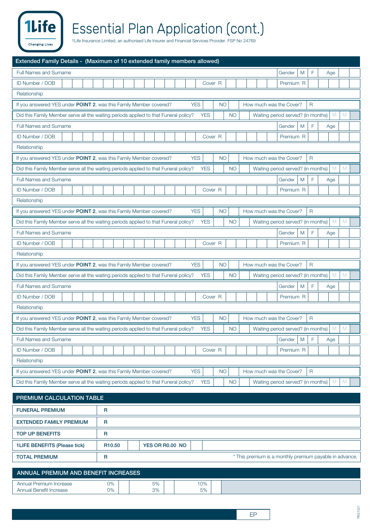# Essential Plan Application (cont.)

| Extended Family Details - (Maximum of 10 extended family members allowed)            |                                       |                         |                                                         |                    |
|--------------------------------------------------------------------------------------|---------------------------------------|-------------------------|---------------------------------------------------------|--------------------|
| <b>Full Names and Surname</b>                                                        |                                       |                         | M<br>Gender                                             | F<br>Age           |
| ID Number / DOB                                                                      |                                       | Cover <sub>R</sub>      | Premium R                                               |                    |
| Relationship                                                                         |                                       |                         |                                                         |                    |
| If you answered YES under POINT 2, was this Family Member covered?                   |                                       | <b>YES</b><br><b>NO</b> | How much was the Cover?                                 | $\mathsf{R}$       |
| Did this Family Member serve all the waiting periods applied to that Funeral policy? |                                       | <b>YES</b><br><b>NO</b> | Waiting period served? (in months)                      | M<br>M             |
| Full Names and Surname                                                               |                                       |                         | M<br>Gender                                             | F<br>Age           |
| <b>ID Number / DOB</b>                                                               |                                       | Cover <sub>R</sub>      | Premium R                                               |                    |
| Relationship                                                                         |                                       |                         |                                                         |                    |
| If you answered YES under POINT 2, was this Family Member covered?                   |                                       | <b>YES</b><br><b>NO</b> | How much was the Cover?                                 | $\mathsf{R}$       |
| Did this Family Member serve all the waiting periods applied to that Funeral policy? |                                       | <b>YES</b><br><b>NO</b> | Waiting period served? (in months)                      | M<br>M             |
| <b>Full Names and Surname</b>                                                        |                                       |                         | M<br>Gender                                             | F<br>Age           |
| ID Number / DOB                                                                      |                                       | Cover <sub>R</sub>      | Premium R                                               |                    |
| Relationship                                                                         |                                       |                         |                                                         |                    |
| If you answered YES under POINT 2, was this Family Member covered?                   |                                       | <b>YES</b><br><b>NO</b> | How much was the Cover?                                 | $\mathsf{R}$       |
| Did this Family Member serve all the waiting periods applied to that Funeral policy? |                                       | <b>NO</b><br><b>YES</b> | Waiting period served? (in months)                      | M<br>M             |
| <b>Full Names and Surname</b>                                                        |                                       |                         | M<br>Gender                                             | F<br>Age           |
| ID Number / DOB                                                                      |                                       | Cover <sub>R</sub>      | Premium R                                               |                    |
| Relationship                                                                         |                                       |                         |                                                         |                    |
| If you answered YES under POINT 2, was this Family Member covered?                   |                                       | <b>YES</b><br><b>NO</b> | How much was the Cover?                                 | $\mathsf{R}$       |
| Did this Family Member serve all the waiting periods applied to that Funeral policy? |                                       | <b>YES</b><br><b>NO</b> | Waiting period served? (in months)                      | M<br>M             |
| <b>Full Names and Surname</b>                                                        |                                       |                         | M<br>Gender                                             | F<br>Age           |
| ID Number / DOB                                                                      |                                       | Cover <sub>R</sub>      | Premium R                                               |                    |
| Relationship                                                                         |                                       |                         |                                                         |                    |
| If you answered YES under POINT 2, was this Family Member covered?                   |                                       | <b>YES</b><br><b>NO</b> | How much was the Cover?<br>$\mathsf{R}$                 |                    |
| Did this Family Member serve all the waiting periods applied to that Funeral policy? |                                       | <b>YES</b><br><b>NO</b> | Waiting period served? (in months)                      | M<br>M             |
| <b>Full Names and Surname</b>                                                        |                                       |                         | M<br>Gender                                             | $\mathsf F$<br>Age |
| <b>ID Number / DOB</b>                                                               |                                       | Cover <sub>R</sub>      | Premium R                                               |                    |
| Relationship                                                                         |                                       |                         |                                                         |                    |
| If you answered YES under POINT 2, was this Family Member covered?                   |                                       | <b>YES</b><br><b>NO</b> | How much was the Cover?<br>$\mathsf{R}$                 |                    |
| Did this Family Member serve all the waiting periods applied to that Funeral policy? |                                       | <b>YES</b><br><b>NO</b> | Waiting period served? (in months)                      | M<br>M             |
| PREMIUM CALCULATION TABLE                                                            |                                       |                         |                                                         |                    |
| <b>FUNERAL PREMIUM</b>                                                               | R                                     |                         |                                                         |                    |
| <b>EXTENDED FAMILY PREMIUM</b>                                                       | $\mathsf R$                           |                         |                                                         |                    |
| <b>TOP UP BENEFITS</b>                                                               | R                                     |                         |                                                         |                    |
| <b>1LIFE BENEFITS (Please tick)</b>                                                  | YES OR R0.00 NO<br>R <sub>10.50</sub> |                         |                                                         |                    |
| <b>TOTAL PREMIUM</b>                                                                 | $\mathsf R$                           |                         | * This premium is a monthly premium payable in advance. |                    |
| ANNUAL PREMIUM AND BENEFIT INCREASES                                                 |                                       |                         |                                                         |                    |
| Annual Premium Increase                                                              | 0%<br>5%                              | 10%                     |                                                         |                    |
| <b>Annual Benefit Increase</b>                                                       | 0%<br>3%                              | 5%                      |                                                         |                    |

1Life<sup></sup>

**Changing Lives**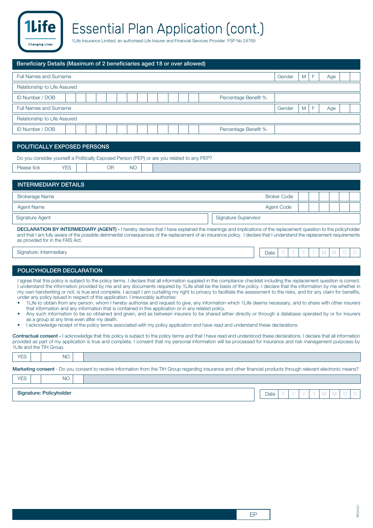| Beneficiary Details (Maximum of 2 beneficiaries aged 18 or over allowed) |        |   |   |     |  |  |  |  |  |  |  |  |
|--------------------------------------------------------------------------|--------|---|---|-----|--|--|--|--|--|--|--|--|
| Full Names and Surname                                                   | Gender | M | F | Age |  |  |  |  |  |  |  |  |
| Relationship to Life Assured                                             |        |   |   |     |  |  |  |  |  |  |  |  |
| ID Number / DOB<br>Percentage Benefit %                                  |        |   |   |     |  |  |  |  |  |  |  |  |
| Full Names and Surname                                                   | Gender | M |   | Age |  |  |  |  |  |  |  |  |
| Relationship to Life Assured                                             |        |   |   |     |  |  |  |  |  |  |  |  |
| ID Number / DOB<br>Percentage Benefit %                                  |        |   |   |     |  |  |  |  |  |  |  |  |

#### **POLITICALLY EXPOSED PERSONS**

| Do you consider yourself a Politically Exposed Person (PEP) or are you related to any PEP? |  |    |  |  |  |  |  |  |
|--------------------------------------------------------------------------------------------|--|----|--|--|--|--|--|--|
| YES<br>Please tick                                                                         |  | ОR |  |  |  |  |  |  |

#### Brokerage Name Broker Code and the Broker Code and the Broker Code and the Broker Code and the Broker Code and the Broker Code Agent Name Agent Code (Agent Code ) and the set of the set of the set of the set of the set of the set of the set of the set of the set of the set of the set of the set of the set of the set of the set of the set of the se **INTERMEDIARY DETAILS** Signature Agent Signature Supervisor Contract of Signature Supervisor Contract of Signature Supervisor Contract of Signature Supervisor **DECLARATION BY INTERMEDIARY (AGENT) -** I hereby declare that I have explained the meanings and implications of the replacement question to the policyholder

and that I am fully aware of the possible detrimental consequences of the replacement of an insurance policy. I declare that I understand the replacement requirements as provided for in the FAIS Act.

Signature: Intermediary Date Y Y Y YMMD D

**Changing Live:** 

#### **POLICYHOLDER DECLARATION**

I agree that this policy is subject to the policy terms. I declare that all information supplied in the compliance checklist including the replacement question is correct. I understand the information provided by me and any documents required by 1Life shall be the basis of the policy. I declare that the information by me whether in my own handwriting or not, is true and complete. I accept I am curtailing my right to privacy to facilitate the assessment to the risks, and for any claim for benefits, under any policy issued in respect of this application. I irrevocably authorise:

- 1Life to obtain from any person, whom I hereby authorise and request to give, any information which 1Life deems necessary, and to share with other insurers that information and any information that is contained in this application or in any related policy.
- Any such information to be so obtained and given, and as between insurers to be shared either directly or through a database operated by or for insurers as a group at any time even after my death.
- I acknowledge receipt of the policy terms associated with my policy application and have read and understand these declarations.

**Contractual consent -** I acknowledge that this policy is subject to the policy terms and that I have read and understood these declarations. I declare that all information provided as part of my application is true and complete. I consent that my personal information will be processed for insurance and risk management purposes by 1Life and the TIH Group.

| <b>YES</b> |                       |                                                                                                                                                      |
|------------|-----------------------|------------------------------------------------------------------------------------------------------------------------------------------------------|
|            | Marketing consent - [ | - Do vou consent to receive information from the TIH Group regard<br>r financial products through relevant electronic.<br>arding insurance and other |

|            |                         | t de versionelle en de la contra de la contra de la contra versionelle de la contra del contra del contra del c |      |  |  |  |  |
|------------|-------------------------|-----------------------------------------------------------------------------------------------------------------|------|--|--|--|--|
| <b>YES</b> |                         |                                                                                                                 |      |  |  |  |  |
|            |                         |                                                                                                                 |      |  |  |  |  |
|            | Signature: Policyholder |                                                                                                                 | Date |  |  |  |  |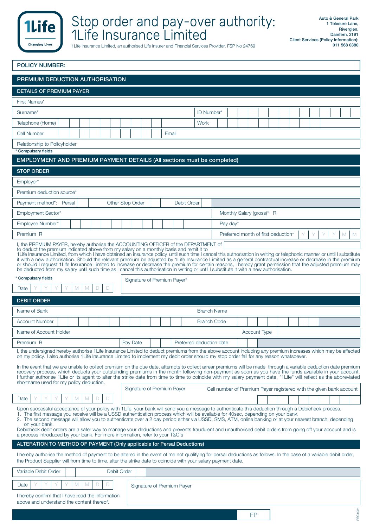

| <b>POLICY NUMBER:</b> |  |  |  |
|-----------------------|--|--|--|
|                       |  |  |  |

| PREMIUM DEDUCTION AUTHORISATION                                                                                                                                                                                                                                                                                                                                                                                                                                                                                                                                                                                                                                                                                                                                                                                                         |                                               |                                                    |  |  |  |  |  |
|-----------------------------------------------------------------------------------------------------------------------------------------------------------------------------------------------------------------------------------------------------------------------------------------------------------------------------------------------------------------------------------------------------------------------------------------------------------------------------------------------------------------------------------------------------------------------------------------------------------------------------------------------------------------------------------------------------------------------------------------------------------------------------------------------------------------------------------------|-----------------------------------------------|----------------------------------------------------|--|--|--|--|--|
| <b>DETAILS OF PREMIUM PAYER</b>                                                                                                                                                                                                                                                                                                                                                                                                                                                                                                                                                                                                                                                                                                                                                                                                         |                                               |                                                    |  |  |  |  |  |
| First Names*                                                                                                                                                                                                                                                                                                                                                                                                                                                                                                                                                                                                                                                                                                                                                                                                                            |                                               |                                                    |  |  |  |  |  |
| Surname*                                                                                                                                                                                                                                                                                                                                                                                                                                                                                                                                                                                                                                                                                                                                                                                                                                |                                               | ID Number*                                         |  |  |  |  |  |
| Telephone (Home)                                                                                                                                                                                                                                                                                                                                                                                                                                                                                                                                                                                                                                                                                                                                                                                                                        |                                               | Work                                               |  |  |  |  |  |
| Cell Number                                                                                                                                                                                                                                                                                                                                                                                                                                                                                                                                                                                                                                                                                                                                                                                                                             | Email                                         |                                                    |  |  |  |  |  |
| Relationship to Policyholder                                                                                                                                                                                                                                                                                                                                                                                                                                                                                                                                                                                                                                                                                                                                                                                                            |                                               |                                                    |  |  |  |  |  |
| * Compulsary fields                                                                                                                                                                                                                                                                                                                                                                                                                                                                                                                                                                                                                                                                                                                                                                                                                     |                                               |                                                    |  |  |  |  |  |
| EMPLOYMENT AND PREMIUM PAYMENT DETAILS (All sections must be completed)                                                                                                                                                                                                                                                                                                                                                                                                                                                                                                                                                                                                                                                                                                                                                                 |                                               |                                                    |  |  |  |  |  |
| <b>STOP ORDER</b>                                                                                                                                                                                                                                                                                                                                                                                                                                                                                                                                                                                                                                                                                                                                                                                                                       |                                               |                                                    |  |  |  |  |  |
| Employer*                                                                                                                                                                                                                                                                                                                                                                                                                                                                                                                                                                                                                                                                                                                                                                                                                               |                                               |                                                    |  |  |  |  |  |
| Premium deduction source*                                                                                                                                                                                                                                                                                                                                                                                                                                                                                                                                                                                                                                                                                                                                                                                                               |                                               |                                                    |  |  |  |  |  |
| Payment method*: Persal                                                                                                                                                                                                                                                                                                                                                                                                                                                                                                                                                                                                                                                                                                                                                                                                                 | <b>Other Stop Order</b><br><b>Debit Order</b> |                                                    |  |  |  |  |  |
| <b>Employment Sector*</b>                                                                                                                                                                                                                                                                                                                                                                                                                                                                                                                                                                                                                                                                                                                                                                                                               |                                               | Monthly Salary (gross)* R                          |  |  |  |  |  |
| Employee Number*                                                                                                                                                                                                                                                                                                                                                                                                                                                                                                                                                                                                                                                                                                                                                                                                                        |                                               | Pay day $*$                                        |  |  |  |  |  |
| Premium R                                                                                                                                                                                                                                                                                                                                                                                                                                                                                                                                                                                                                                                                                                                                                                                                                               |                                               | Preferred month of first deduction*<br>Υ<br>M<br>M |  |  |  |  |  |
| I, the PREMIUM PAYER, hereby authorise the ACCOUNTING OFFICER of the DEPARTMENT of<br>to deduct the premium indicated above from my salary on a monthly basis and remit it to<br>1Life Insurance Limited, from which I have obtained an insurance policy, until such time I cancel this authorisation in writing or telephonic manner or until I substitute<br>it with a new authorisation. Should the relevant premium be adjusted by 1Life Insurance Limited as a general contractual increase or decrease in the premium<br>or should I request 1 Life Insurance Limited to increase or decrease the premium for certain reasons, I hereby grant permission that the adjusted premium may<br>be deducted from my salary until such time as I cancel this authorisation in writing or until I substitute it with a new authorisation. |                                               |                                                    |  |  |  |  |  |
| * Compulsary fields                                                                                                                                                                                                                                                                                                                                                                                                                                                                                                                                                                                                                                                                                                                                                                                                                     | Signature of Premium Payer*                   |                                                    |  |  |  |  |  |
| M<br>D<br>M<br>D<br>Date                                                                                                                                                                                                                                                                                                                                                                                                                                                                                                                                                                                                                                                                                                                                                                                                                |                                               |                                                    |  |  |  |  |  |
| <b>DEBIT ORDER</b>                                                                                                                                                                                                                                                                                                                                                                                                                                                                                                                                                                                                                                                                                                                                                                                                                      |                                               |                                                    |  |  |  |  |  |
| Name of Bank                                                                                                                                                                                                                                                                                                                                                                                                                                                                                                                                                                                                                                                                                                                                                                                                                            |                                               | <b>Branch Name</b>                                 |  |  |  |  |  |
| <b>Account Number</b>                                                                                                                                                                                                                                                                                                                                                                                                                                                                                                                                                                                                                                                                                                                                                                                                                   |                                               | <b>Branch Code</b>                                 |  |  |  |  |  |
| Name of Account Holder                                                                                                                                                                                                                                                                                                                                                                                                                                                                                                                                                                                                                                                                                                                                                                                                                  |                                               | Account Type                                       |  |  |  |  |  |
| Premium R                                                                                                                                                                                                                                                                                                                                                                                                                                                                                                                                                                                                                                                                                                                                                                                                                               | Pay Date                                      | Preferred deduction date                           |  |  |  |  |  |
| I, the undersigned hereby authorise 1Life Insurance Limited to deduct premiums from the above account including any premium increases which may be affected<br>on my policy. I also authorise 1Life Insurance Limited to implement my debit order should my stop order fail for any reason whatsoever.                                                                                                                                                                                                                                                                                                                                                                                                                                                                                                                                  |                                               |                                                    |  |  |  |  |  |
| In the event that we are unable to collect premium on the due date, attempts to collect arrear premiums will be made through a variable deduction date premium<br>recovery process, which deducts your outstanding premiums in the month following non-payment as soon as you have the funds available in your account.<br>I further authorise 1Life or its agent to alter the strike date from time to time to coincide with my salary payment date. "1Life" will reflect as the abbreviated<br>shortname used for my policy deduction.<br>Signature of Premium Payer<br>Cell number of Premium Payer registered with the given bank account                                                                                                                                                                                           |                                               |                                                    |  |  |  |  |  |
| Date<br>M<br>D<br>D<br>M                                                                                                                                                                                                                                                                                                                                                                                                                                                                                                                                                                                                                                                                                                                                                                                                                |                                               |                                                    |  |  |  |  |  |
| Upon successful acceptance of your policy with 1 Life, your bank will send you a message to authenticate this deduction through a Debicheck process.<br>1. The first message you receive will be a USSD authentication process which will be available for 40sec, depending on your bank.<br>2. The second message will allow you to authenticate over a 2 day period either via USSD, SMS, ATM, online banking or at your nearest branch, depending<br>on your bank.<br>Debicheck debit orders are a safer way to manage your deductions and prevents fraudulent and unauthorised debit orders from going off your account and is<br>a process introduced by your bank. For more information, refer to your T&C's                                                                                                                      |                                               |                                                    |  |  |  |  |  |
| ALTERATION TO METHOD OF PAYMENT (Only applicable for Persal Deductions)                                                                                                                                                                                                                                                                                                                                                                                                                                                                                                                                                                                                                                                                                                                                                                 |                                               |                                                    |  |  |  |  |  |
| I hereby authorise the method of payment to be altered in the event of me not qualifying for persal deductions as follows: In the case of a variable debit order,<br>the Product Supplier will from time to time, alter the strike date to coincide with your salary payment date.                                                                                                                                                                                                                                                                                                                                                                                                                                                                                                                                                      |                                               |                                                    |  |  |  |  |  |
| Variable Debit Order<br>Debit Order                                                                                                                                                                                                                                                                                                                                                                                                                                                                                                                                                                                                                                                                                                                                                                                                     |                                               |                                                    |  |  |  |  |  |
| M<br>M<br>D<br>D<br>Date                                                                                                                                                                                                                                                                                                                                                                                                                                                                                                                                                                                                                                                                                                                                                                                                                | Signature of Premium Payer                    |                                                    |  |  |  |  |  |
| I hereby confirm that I have read the information<br>above and understand the content thereof.                                                                                                                                                                                                                                                                                                                                                                                                                                                                                                                                                                                                                                                                                                                                          |                                               |                                                    |  |  |  |  |  |

PEG1021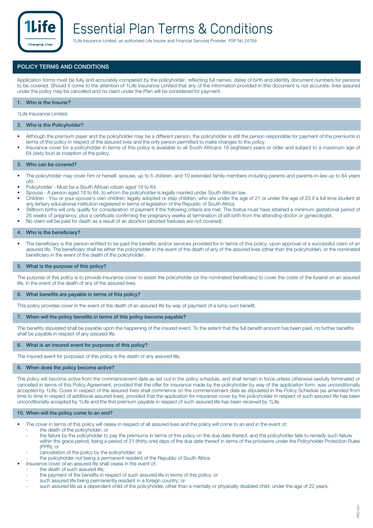

#### **POLICY TERMS AND CONDITIONS**

Application forms must be fully and accurately completed by the policyholder, reflecting full names, dates of birth and identity document numbers for persons to be covered. Should it come to the attention of 1Life Insurance Limited that any of the information provided in this document is not accurate, lives assured under the policy may be cancelled and no claim under the Plan will be considered for payment.

#### **1. Who is the Insurer?**

1Life Insurance Limited.

#### **2. Who is the Policyholder?**

- Although the premium payer and the policyholder may be a different person, the policyholder is still the person responsible for payment of the premiums in terms of this policy in respect of the assured lives and the only person permitted to make changes to the policy.
- Insurance cover for a policyholder in terms of this policy is available to all South Africans 18 (eighteen) years or older and subject to a maximum age of 64 (sixty four) at inception of the policy.

#### **3. Who can be covered?**

- The policyholder may cover him or herself, spouse, up to 5 children, and 10 extended family members including parents and parents-in-law up to 84 years old.
- Policyholder Must be a South African citizen aged 18 to 64.
- Spouse A person aged 18 to 64, to whom the policyholder is legally married under South African law.
- Children You or your spouse's own children; legally adopted or step children; who are under the age of 21 or under the age of 25 if a full time student at any tertiary educational institution registered in terms of legislation of the Republic of South Africa.
- Stillborn births will only qualify for consideration of payment if the following criteria are met: The foetus must have attained a minimum gestational period of 26 weeks of pregnancy, plus a certificate confirming the pregnancy weeks at termination of still birth from the attending doctor or gynecologist.
- No claim will be paid for death as a result of an abortion (aborted foetuses are not covered).

#### **4. Who is the beneficiary?**

• The beneficiary is the person entitled to be paid the benefits and/or services provided for in terms of this policy, upon approval of a successful claim of an assured life. The beneficiary shall be either the policyholder in the event of the death of any of the assured lives (other than the policyholder), or the nominated beneficiary in the event of the death of the policyholder.

#### **5. What is the purpose of this policy?**

The purpose of this policy is to provide insurance cover to assist the policyholder (or the nominated beneficiary) to cover the costs of the funeral on an assured life, in the event of the death of any of the assured lives.

#### **6. What benefits are payable in terms of this policy?**

This policy provides cover in the event of the death of an assured life by way of payment of a lump sum benefit.

#### **7. When will the policy benefits in terms of this policy become payable?**

The benefits stipulated shall be payable upon the happening of the insured event. To the extent that the full benefit amount has been paid, no further benefits shall be payable in respect of any assured life.

#### **8. What is an insured event for purposes of this policy?**

The insured event for purposes of this policy is the death of any assured life.

#### **9. When does the policy become active?**

The policy will become active from the commencement date as set out in the policy schedule, and shall remain in force unless otherwise lawfully terminated or cancelled in terms of this Policy Agreement, provided that the offer for insurance made by the policyholder by way of the application form, was unconditionally accepted by 1Life. Cover in respect of the assured lives shall commence on the commencement date as stipulated in the Policy Schedule (as amended from time to time in respect of additional assured lives), provided that the application for insurance cover by the policyholder in respect of such assured life has been unconditionally accepted by 1Life and the first premium payable in respect of such assured life has been received by 1Life.

#### **10. When will the policy come to an end?**

- The cover in terms of this policy will cease in respect of all assured lives and the policy will come to an end in the event of:
	- the death of the policyholder; or
	- the failure by the policyholder to pay the premiums in terms of this policy on the due date thereof, and the policyholder fails to remedy such failure within the grace period, being a period of 31 (thirty one) days of the due date thereof in terms of the provisions under the Policyholder Protection Rules (PPR); or
	- cancellation of the policy by the policyholder; or
	- the policyholder not being a permanent resident of the Republic of South Africa
	- Insurance cover of an assured life shall cease in the event of:
	- the death of such assured life;
		- the payment of the benefits in respect of such assured life in terms of this policy; or
		- such assured life being permanently resident in a foreign country; or
	- such assured life as a dependent child of the policyholder, other than a mentally or physically disabled child, under the age of 22 years.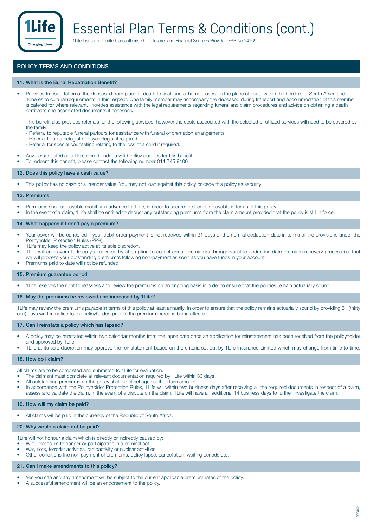

### Essential Plan Terms & Conditions (cont.)

1Life Insurance Limited, an authorised Life Insurer and Financial Services Provider. FSP No 24769

#### **POLICY TERMS AND CONDITIONS**

#### **11. What is the Burial Repatriation Benefit?**

• Provides transportation of the deceased from place of death to final funeral home closest to the place of burial within the borders of South Africa and adheres to cultural requirements in this respect. One family member may accompany the deceased during transport and accommodation of this member is catered for where relevant. Provides assistance with the legal requirements regarding funeral and claim procedures and advice on obtaining a death certificate and associated documents if necessary.

This benefit also provides referrals for the following services; however the costs associated with the selected or utilized services will need to be covered by the family:

- Referral to reputable funeral parlours for assistance with funeral or cremation arrangements.
- Referral to a pathologist or psychologist if required.
- Referral for special counselling relating to the loss of a child if required.
- Any person listed as a life covered under a valid policy qualifies for this benefit.
- To redeem this beneifit, please contact the following number 011 745 9106

#### **12. Does this policy have a cash value?**

• This policy has no cash or surrender value. You may not loan against this policy or cede this policy as security.

#### **13. Premiums**

- Premiums shall be payable monthly in advance to 1Life, in order to secure the benefits payable in terms of this policy.
- In the event of a claim, 1Life shall be entitled to deduct any outstanding premiums from the claim amount provided that the policy is still in force.

#### **14. What happens if I don't pay a premium?**

- Your cover will be cancelled if your debit order payment is not received within 31 days of the normal deduction date in terms of the provisions under the Policyholder Protection Rules (PPR).
- 1 Life may keep the policy active at its sole discretion.
- 1Life will endeavour to keep you covered by attempting to collect arrear premium/s through variable deduction date premium recovery process i.e. that we will process your outstanding premium/s following non-payment as soon as you have funds in your account
- Premiums paid to date will not be refunded

#### **15. Premium guarantee period**

• 1Life reserves the right to reassess and review the premiums on an ongoing basis in order to ensure that the policies remain actuarially sound.

#### **16. May the premiums be reviewed and increased by 1Life?**

1Life may review the premiums payable in terms of this policy at least annually, in order to ensure that the policy remains actuarially sound by providing 31 (thirty one) days written notice to the policyholder, prior to the premium increase being affected.

#### **17. Can I reinstate a policy which has lapsed?**

- A policy may be reinstated within two calendar months from the lapse date once an application for reinstatement has been received from the policyholder and approved by 1Life.
- 1Life at its sole discretion may approve the reinstatement based on the criteria set out by 1Life Insurance Limited which may change from time to time.

#### **18. How do I claim?**

All claims are to be completed and submitted to 1Life for evaluation.

- The claimant must complete all relevant documentation required by 1Life within 30 days.
- All outstanding premiums on the policy shall be offset against the claim amount.
- In accordance with the Policyholder Protection Rules, 1Life will within two business days after receiving all the required documents in respect of a claim, assess and validate the claim. In the event of a dispute on the claim, 1Life will have an additional 14 business days to further investigate the claim.

#### **19. How will my claim be paid?**

All claims will be paid in the currency of the Republic of South Africa.

#### **20. Why would a claim not be paid?**

1Life will not honour a claim which is directly or indirectly caused by:

- Wilful exposure to danger or participation in a criminal act.
- War, riots, terrorist activities, radioactivity or nuclear activities.
- Other conditions like non payment of premiums, policy lapse, cancellation, waiting periods etc.

#### **21. Can I make amendments to this policy?**

- Yes you can and any amendment will be subject to the current applicable premium rates of the policy.
- A successful amendment will be an endorsement to the policy.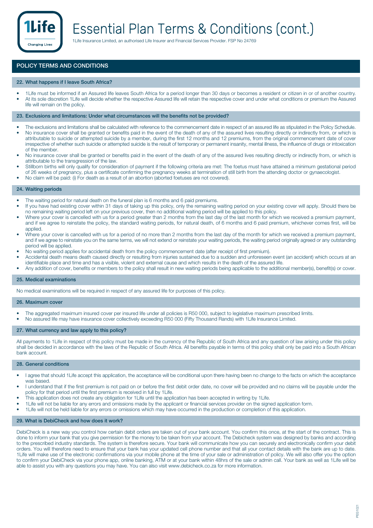

#### **POLICY TERMS AND CONDITIONS**

#### **22. What happens if I leave South Africa?**

- 1Life must be informed if an Assured life leaves South Africa for a period longer than 30 days or becomes a resident or citizen in or of another country. • At its sole discretion 1Life will decide whether the respective Assured life will retain the respective cover and under what conditions or premium the Assured
- life will remain on the policy.

#### **23. Exclusions and limitations: Under what circumstances will the benefits not be provided?**

- The exclusions and limitations shall be calculated with reference to the commencement date in respect of an assured life as stipulated in the Policy Schedule. No insurance cover shall be granted or benefits paid in the event of the death of any of the assured lives resulting directly or indirectly from, or which is attributable to suicide or attempted suicide by a member, during the first 12 months and 12 premiums, from the original commencement date of cover irrespective of whether such suicide or attempted suicide is the result of temporary or permanent insanity, mental illness, the influence of drugs or intoxication of the member.
- No insurance cover shall be granted or benefits paid in the event of the death of any of the assured lives resulting directly or indirectly from, or which is attributable to the transgression of the law.
- Stillborn births will only qualify for consideration of payment if the following criteria are met: The foetus must have attained a minimum gestational period of 26 weeks of pregnancy, plus a certificate confirming the pregnancy weeks at termination of still birth from the attending doctor or gynaecologist.
- No claim will be paid: (i) For death as a result of an abortion (aborted foetuses are not covered).

#### **24. Waiting periods**

- The waiting period for natural death on the funeral plan is 6 months and 6 paid premiums.
- If you have had existing cover within 31 days of taking up this policy, only the remaining waiting period on your existing cover will apply. Should there be no remaining waiting period left on your previous cover, then no additional waiting period will be applied to this policy.
- Where your cover is cancelled with us for a period greater than 2 months from the last day of the last month for which we received a premium payment, and if we agree to reinstate the policy, the standard waiting periods, for natural death, of 6 months and 6 paid premium, whichever comes first, will be applied.
- Where your cover is cancelled with us for a period of no more than 2 months from the last day of the month for which we received a premium payment. and if we agree to reinstate you on the same terms, we will not extend or reinstate your waiting periods, the waiting period originally agreed or any outstanding period will be applied.
- No waiting period applies for accidental death from the policy commencement date (after receipt of first premium).
- Accidental death means death caused directly or resulting from injuries sustained due to a sudden and unforeseen event (an accident) which occurs at an identifiable place and time and has a visible, violent and external cause and which results in the death of the assured life.
- Any addition of cover, benefits or members to the policy shall result in new waiting periods being applicable to the additional member(s), benefit(s) or cover.

#### **25. Medical examinations**

No medical examinations will be required in respect of any assured life for purposes of this policy.

#### **26. Maximum cover**

- The aggregated maximum insured cover per insured life under all policies is R50 000, subject to legislative maximum prescribed limits.
- No assured life may have insurance cover collectively exceeding R50 000 (Fifty Thousand Rands) with 1Life Insurance Limited.

#### **27. What currency and law apply to this policy?**

All payments to 1Life in respect of this policy must be made in the currency of the Republic of South Africa and any question of law arising under this policy shall be decided in accordance with the laws of the Republic of South Africa. All benefits payable in terms of this policy shall only be paid into a South African bank account.

#### **28. General conditions**

- I agree that should 1 Life accept this application, the acceptance will be conditional upon there having been no change to the facts on which the acceptance was based.
- I understand that if the first premium is not paid on or before the first debit order date, no cover will be provided and no claims will be payable under the policy for that period until the first premium is received in full by 1Life.
- This application does not create any obligation for 1Life until the application has been accepted in writing by 1Life.
- 1Life will not be liable for any errors and omissions made by the applicant or financial services provider on the signed application form.
- 1Life will not be held liable for any errors or omissions which may have occurred in the production or completion of this application.

#### **29. What is DebiCheck and how does it work?**

DebiCheck is a new way you control how certain debit orders are taken out of your bank account. You confirm this once, at the start of the contract. This is done to inform your bank that you give permission for the money to be taken from your account. The Debicheck system was designed by banks and according to the prescribed industry standards. The system is therefore secure. Your bank will communicate how you can securely and electronically confirm your debit orders. You will therefore need to ensure that your bank has your updated cell phone number and that all your contact details with the bank are up to date. 1Life will make use of the electronic confirmations via your mobile phone at the time of your sale or administration of policy. We will also offer you the option to confirm your DebiCheck via your phone app, online banking, ATM or at your bank within 48hrs of the sale or admin call. Your bank as well as 1Life will be able to assist you with any questions you may have. You can also visit www.debicheck.co.za for more information.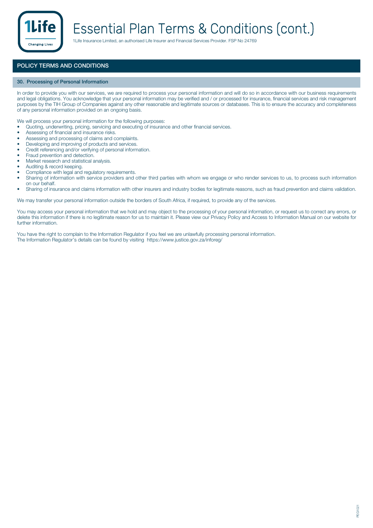

### Essential Plan Terms & Conditions (cont.)

1Life Insurance Limited, an authorised Life Insurer and Financial Services Provider. FSP No 24769

#### **POLICY TERMS AND CONDITIONS**

#### **30. Processing of Personal Information**

In order to provide you with our services, we are required to process your personal information and will do so in accordance with our business requirements and legal obligations. You acknowledge that your personal information may be verified and / or processed for insurance, financial services and risk management purposes by the TIH Group of Companies against any other reasonable and legitimate sources or databases. This is to ensure the accuracy and completeness of any personal information provided on an ongoing basis.

We will process your personal information for the following purposes:

- Quoting, underwriting, pricing, servicing and executing of insurance and other financial services.
- Assessing of financial and insurance risks.
- Assessing and processing of claims and complaints.<br>• Developing and improving of products and sensioes
- Developing and improving of products and services.
- Credit referencing and/or verifying of personal information.<br>• Fraud prevention and detection
- Fraud prevention and detection.
- Market research and statistical analysis.
- Auditing & record keeping.
- Compliance with legal and regulatory requirements.
- Sharing of information with service providers and other third parties with whom we engage or who render services to us, to process such information on our behalf.
- Sharing of insurance and claims information with other insurers and industry bodies for legitimate reasons, such as fraud prevention and claims validation.

We may transfer your personal information outside the borders of South Africa, if required, to provide any of the services.

You may access your personal information that we hold and may object to the processing of your personal information, or request us to correct any errors, or delete this information if there is no legitimate reason for us to maintain it. Please view our Privacy Policy and Access to Information Manual on our website for further information.

You have the right to complain to the Information Regulator if you feel we are unlawfully processing personal information. The Information Regulator's details can be found by visiting https://www.justice.gov.za/inforeg/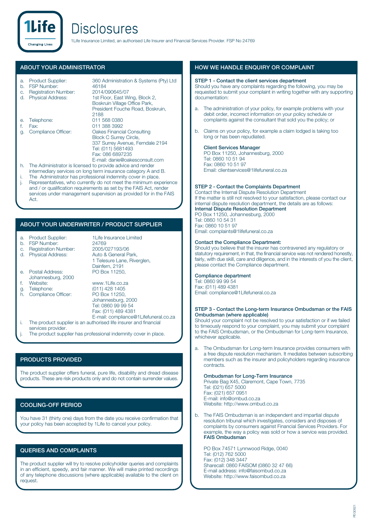### **Disclosures**

1Life Insurance Limited, an authorised Life Insurer and Financial Services Provider. FSP No 24769

#### **ABOUT YOUR ADMINISTRATOR**

**Changing Lives** 

| a.<br>b. | <b>Product Supplier:</b><br><b>FSP Number:</b>                 | 360 Administration & Systems (Pty) Ltd<br>46184 |  |  |  |
|----------|----------------------------------------------------------------|-------------------------------------------------|--|--|--|
| C.       | <b>Registration Number:</b>                                    | 2014/090645/07                                  |  |  |  |
| d.       | <b>Physical Address:</b>                                       | 1st Floor, East Wing, Block 2,                  |  |  |  |
|          |                                                                | Boskruin Village Office Park,                   |  |  |  |
|          |                                                                | President Fouche Road, Boskruin,                |  |  |  |
|          |                                                                | 2188                                            |  |  |  |
| е.       | Telephone:                                                     | 011 568 0380                                    |  |  |  |
| f.       | Fax:                                                           | 011 388 3992                                    |  |  |  |
| g.       | Compliance Officer:                                            | Oakes Financial Consulting                      |  |  |  |
|          |                                                                | <b>Block C Surrey Circle,</b>                   |  |  |  |
|          |                                                                | 337 Surrey Avenue, Ferndale 2194                |  |  |  |
|          |                                                                | Tel: (011) 5681493                              |  |  |  |
|          |                                                                | Fax: 086 6897235                                |  |  |  |
|          |                                                                | E-mail: danie@oakesconsult.com                  |  |  |  |
| h.       | The Administrator is licensed to provide advice and render     |                                                 |  |  |  |
|          | intermediary services on long term insurance category A and B. |                                                 |  |  |  |
| İ.       | The Administrator has professional indemnity cover in place.   |                                                 |  |  |  |

j. Representatives, who currently do not meet the minimum experience and / or qualification requirements as set by the FAIS Act, render services under management supervision as provided for in the FAIS Act.

#### **ABOUT YOUR UNDERWRITER / PRODUCT SUPPLIER**

#### a. Product Supplier: 1Life Insurance Limited<br>b. ESP Number: 24769

- b. FSP Number: 24769<br>
c. Registration Number: 2005/027193/06
- c. Registration Number: 2005/027193/06<br>d. Physical Address: Auto & General Park,
- d. Physical Address:

e. Postal Address: Johannesburg, 2000<br>Website:

- 
- h. Compliance Officer:
- Website: www.1Life.co.za<br>Telephone: (011) 428 1405 g. Telephone: (011) 428 1405<br>h. Compliance Officer: PO Box 11250. Johannesburg, 2000 Tel: 0860 99 99 54

Fax: (011) 489 4381 E-mail: compliance@1Lifefuneral.co.za

1 Telesure Lane, Riverglen,

Dainfern, 2191<br>PO Box 11250

- i. The product supplier is an authorised life insurer and financial services provider.
- The product supplier has professional indemnity cover in place.

#### **PRODUCTS PROVIDED**

The product supplier offers funeral, pure life, disability and dread disease products. These are risk products only and do not contain surrender values.

#### **COOLING-OFF PERIOD**

You have 31 (thirty one) days from the date you receive confirmation that your policy has been accepted by 1Life to cancel your policy.

#### **QUERIES AND COMPLAINTS**

The product supplier will try to resolve policyholder queries and complaints in an efficient, speedy, and fair manner. We will make printed recordings of any telephone discussions (where applicable) available to the client on request.

#### **HOW WE HANDLE ENQUIRY OR COMPLAINT**

#### **STEP 1 - Contact the client services department**

Should you have any complaints regarding the following, you may be requested to submit your complaint in writing together with any supporting documentation:

- a. The administration of your policy, for example problems with your debit order, incorrect information on your policy schedule or complaints against the consultant that sold you the policy; or
- b. Claims on your policy, for example a claim lodged is taking too long or has been repudiated.

#### **Client Services Manager**

PO Box 11250, Johannesburg, 2000 Tel: 0860 10 51 94 Fax: 0860 10 51 97 Email: clientservices@1lifefuneral.co.za

#### **STEP 2 - Contact the Complaints Department**

Contact the Internal Dispute Resolution Department If the matter is still not resolved to your satisfaction, please contact our internal dispute resolution department, the details are as follows: **Internal Dispute Resolution Department** PO Box 11250, Johannesburg, 2000 Tel: 0860 10 54 31 Fax: 0860 10 51 97

Email: complaints@1lifefuneral.co.za

#### **Contact the Compliance Department:**

Should you believe that the insurer has contravened any regulatory or statutory requirement, in that, the financial service was not rendered honestly, fairly, with due skill, care and diligence, and in the interests of you the client, please contact the Compliance department.

#### **Compliance department**

Tel: 0860 99 99 54 Fax: (011) 489 4381 Email: compliance@1Lifefuneral.co.za

#### **STEP 3 - Contact the Long-term Insurance Ombudsman or the FAIS Ombudsman (where applicable)**

Should your complaint not be resolved to your satisfaction or if we failed to timeously respond to your complaint, you may submit your complaint to the FAIS Ombudsman, or the Ombudsman for Long-term Insurance, whichever applicable.

a. The Ombudsman for Long-term Insurance provides consumers with a free dispute resolution mechanism. It mediates between subscribing members such as the insurer and policyholders regarding insurance contracts.

#### **Ombudsman for Long-Term Insurance**

Private Bag X45, Claremont, Cape Town, 7735 Tel: (021) 657 5000 Fax: (021) 657 0951 E-mail: info@ombud.co.za Website: http://www.ombud.co.za

b. The FAIS Ombudsman is an independent and impartial dispute resolution tribunal which investigates, considers and disposes of complaints by consumers against Financial Services Providers. For example, the way a policy was sold or how a service was provided. **FAIS Ombudsman**

PO Box 74571 Lynnwood Ridge, 0040 Tel: (012) 762 5000 Fax: (012) 348 3447 Sharecall: 0860 FAISOM (0860 32 47 66) E-mail address: info@faisombud.co.za Website: http://www.faisombud.co.za